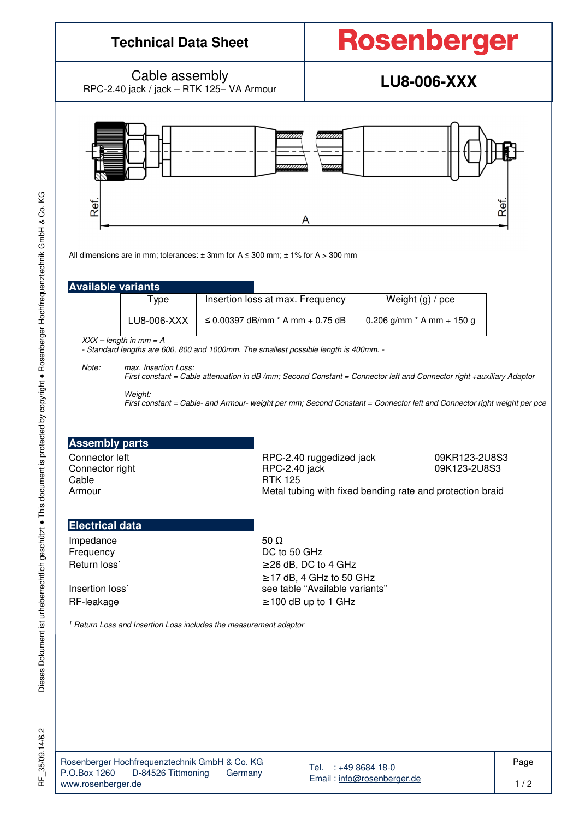

ΧG

RF\_35/09.14/6.2

35/09.14/6.2

눈

Tel. : +49 8684 18-0 Email : info@rosenberger.de Page